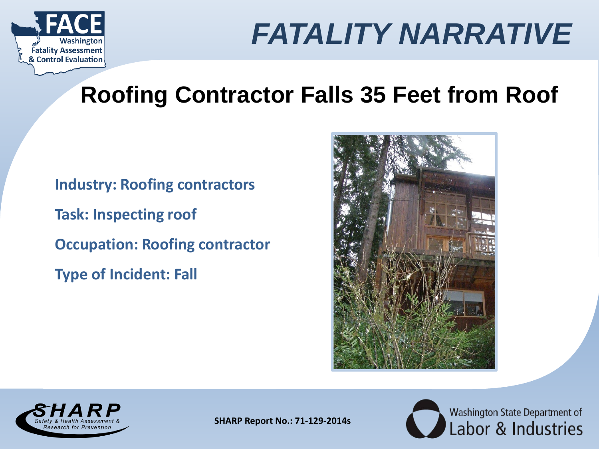

#### **Roofing Contractor Falls 35 Feet from Roof**

**Industry: Roofing contractors Task: Inspecting roof Occupation: Roofing contractor Type of Incident: Fall**





**SHARP Report No.: 71-129-2014s**

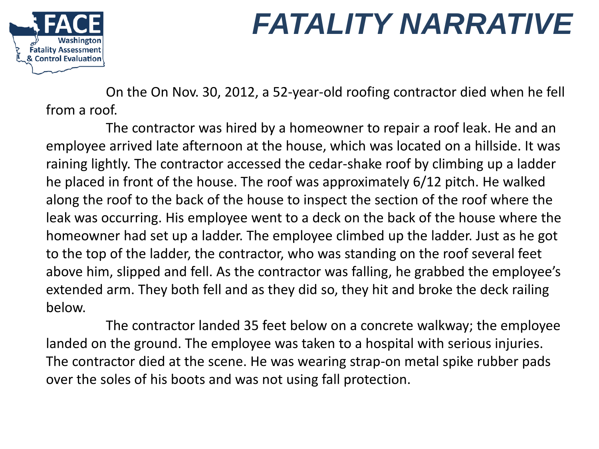

On the On Nov. 30, 2012, a 52-year-old roofing contractor died when he fell from a roof.

The contractor was hired by a homeowner to repair a roof leak. He and an employee arrived late afternoon at the house, which was located on a hillside. It was raining lightly. The contractor accessed the cedar-shake roof by climbing up a ladder he placed in front of the house. The roof was approximately 6/12 pitch. He walked along the roof to the back of the house to inspect the section of the roof where the leak was occurring. His employee went to a deck on the back of the house where the homeowner had set up a ladder. The employee climbed up the ladder. Just as he got to the top of the ladder, the contractor, who was standing on the roof several feet above him, slipped and fell. As the contractor was falling, he grabbed the employee's extended arm. They both fell and as they did so, they hit and broke the deck railing below.

The contractor landed 35 feet below on a concrete walkway; the employee landed on the ground. The employee was taken to a hospital with serious injuries. The contractor died at the scene. He was wearing strap-on metal spike rubber pads over the soles of his boots and was not using fall protection.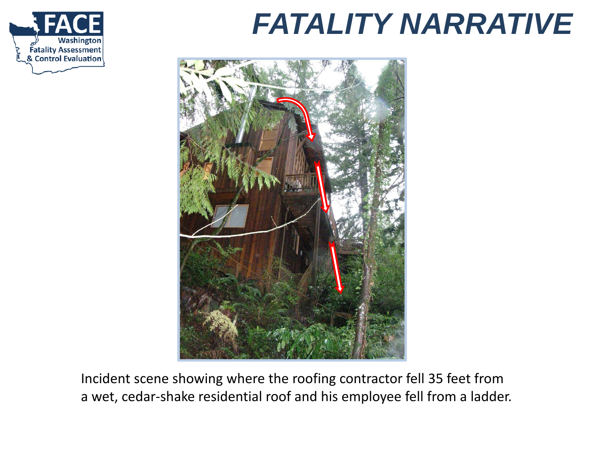



Incident scene showing where the roofing contractor fell 35 feet from a wet, cedar-shake residential roof and his employee fell from a ladder.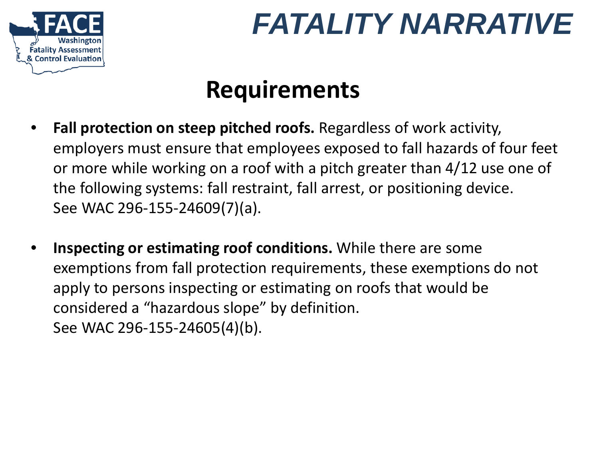

## **Requirements**

- **Fall protection on steep pitched roofs.** Regardless of work activity, employers must ensure that employees exposed to fall hazards of four feet or more while working on a roof with a pitch greater than 4/12 use one of the following systems: fall restraint, fall arrest, or positioning device. See WAC 296-155-24609(7)(a).
- **Inspecting or estimating roof conditions.** While there are some exemptions from fall protection requirements, these exemptions do not apply to persons inspecting or estimating on roofs that would be considered a "hazardous slope" by definition. See WAC 296-155-24605(4)(b).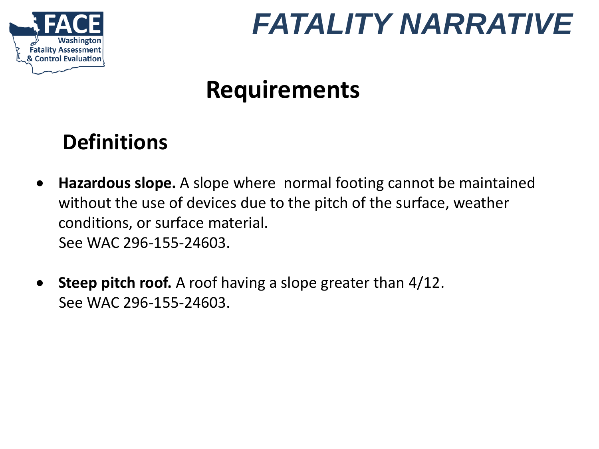

## **Requirements**

#### **Definitions**

- **Hazardous slope.** A slope where normal footing cannot be maintained without the use of devices due to the pitch of the surface, weather conditions, or surface material. See WAC 296-155-24603.
- **Steep pitch roof.** A roof having a slope greater than 4/12. See WAC 296-155-24603.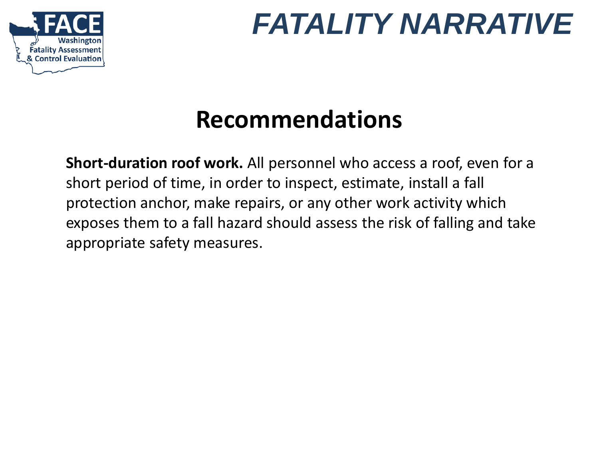

## **Recommendations**

**Short-duration roof work.** All personnel who access a roof, even for a short period of time, in order to inspect, estimate, install a fall protection anchor, make repairs, or any other work activity which exposes them to a fall hazard should assess the risk of falling and take appropriate safety measures.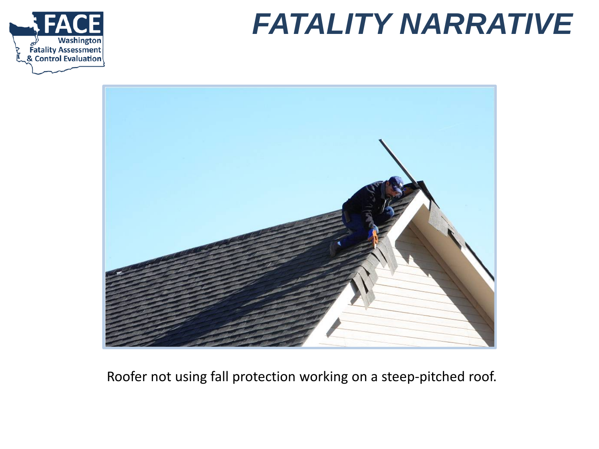





Roofer not using fall protection working on a steep-pitched roof.